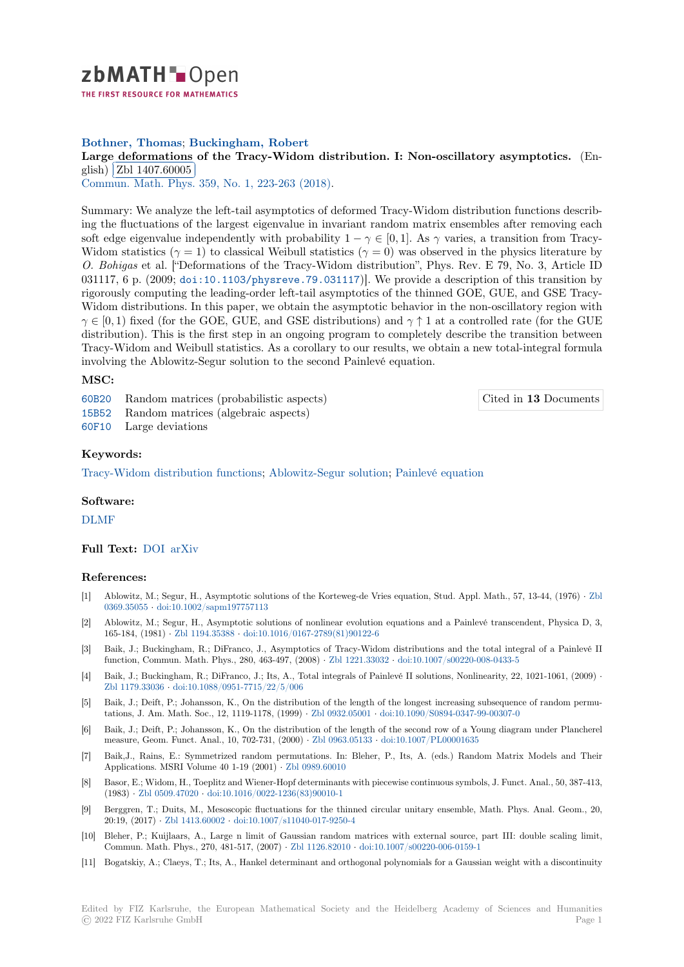

THE FIRST RESOURCE FOR MATHEMATICS

# **Bothner, Thomas**; **Buckingham, Robert**

## [L](https://zbmath.org/)arge deformations of the Tracy-Widom distribution. I: Non-oscillatory asymptotics. (En-<br>
with  $\frac{1}{2}$ glish) Zbl 1407.60005

Commun. Math. Phys. 359, No. 1, 223-263 (2018).

[Summary: We analyze the left-tail asymptotics of deformed Tracy-Widom distribution functions de](https://zbmath.org/1407.60005)scribing th[e fluctuations of t](https://zbmath.org/1407.60005)he largest eigenvalue in invariant random matrix ensembles after removing each [soft edge eigenvalue in](https://zbmath.org/journals/?q=se:63)[dependently with probabilit](https://zbmath.org/?q=in:384597)y  $1 - \gamma \in [0, 1]$ . As  $\gamma$  varies, a transition from Tracy-Widom statistics ( $\gamma = 1$ ) to classical Weibull statistics ( $\gamma = 0$ ) was observed in the physics literature by *O. Bohigas* et al. ["Deformations of the Tracy-Widom distribution", Phys. Rev. E 79, No. 3, Article ID 031117, 6 p. (2009; doi:10.1103/physreve.79.031117)]. We provide a description of this transition by rigorously computing the leading-order left-tail asymptotics of the thinned GOE, GUE, and GSE Tracy-Widom distributions. In this paper, we obtain the asymptotic behavior in the non-oscillatory region with *γ*  $\in$  [0, 1) fixed (for the GOE, GUE, and GSE distributions) and *γ*  $\uparrow$  1 at a controlled rate (for the GUE distribution). This [is the first step in an ongoing progra](doi:10.1103/physreve.79.031117)m to completely describe the transition between Tracy-Widom and Weibull statistics. As a corollary to our results, we obtain a new total-integral formula involving the Ablowitz-Segur solution to the second Painlevé equation.

### **MSC:**

60B20 Random matrices (probabilistic aspects) 15B52 Random matrices (algebraic aspects)

60F10 Large deviations

#### **[Keyw](https://zbmath.org/classification/?q=cc:60B20)ords:**

[Tracy-](https://zbmath.org/classification/?q=cc:15B52)Widom distribution functions; Ablowitz-Segur solution; Painlevé equation

#### **Software:**

[DLMF](https://zbmath.org/?q=ut:Tracy-Widom+distribution+functions)

#### **Full Text:** DOI arXiv

#### **[Refere](https://swmath.org/software/4968)nces:**

- [1] Ablowitz, M.; Segur, H., Asymptotic solutions of the Korteweg-de Vries equation, Stud. Appl. Math., 57, 13-44, (1976) *·* Zbl 0369.35055 *·* [do](https://dx.doi.org/10.1007/s00220-017-3006-7)i[:10.1002](https://arxiv.org/abs/1702.04462)/sapm197757113
- [2] Ablowitz, M.; Segur, H., Asymptotic solutions of nonlinear evolution equations and a Painlevé transcendent, Physica D, 3, 165-184, (1981) *·* Zbl 1194.35388 *·* doi:10.1016/0167-2789(81)90122-6
- [3] Baik, J.; Buckingham, R.; DiFranco, J., Asymptotics of Tracy-Widom distributions and the total integral of a Painlev[é II](https://zbmath.org/0369.35055) [function, C](https://zbmath.org/0369.35055)o[mmun. Math. Phys., 280, 463](https://dx.doi.org/10.1002/sapm197757113)-497, (2008) *·* Zbl 1221.33032 *·* doi:10.1007/s00220-008-0433-5
- [4] Baik, J.; Buckingham, R.; DiFranco, J.; Its, A., Total integrals of Painlevé II solutions, Nonlinearity, 22, 1021-1061, (2009) *·* Zbl 1179.33036 *·* [doi:10.1088/095](https://zbmath.org/1194.35388)1[-7715/22/5/006](https://dx.doi.org/10.1016/0167-2789(81)90122-6)
- [5] Baik, J.; Deift, P.; Johansson, K., On the distribution of the length of the longest increasing subsequence of random permutations, J. Am. Math. Soc., 12, 1119-1178, (1999) *·* Zbl [0932.05001](https://zbmath.org/1221.33032) *·* doi:[10.1090/S0894-0347-99-00307-0](https://dx.doi.org/10.1007/s00220-008-0433-5)
- [6] Baik, J.; Deift, P.; Johansson, K., On the distribution of the length of the second row of a Young diagram under Plancherel [measure, Geom](https://zbmath.org/1179.33036). [Funct. Anal., 10, 702-731, \(2000\)](https://dx.doi.org/10.1088/0951-7715/22/5/006) *·* Zbl 0963.05133 *·* doi:10.1007/PL00001635
- [7] Baik,J., Rains, E.: Symmetrized random permutations. In: Bleher, P., Its, A. (eds.) Random Matrix Models and Their Applications. MSRI Volume 40 1-19 (2001) *·* Zbl 09[89.60010](https://zbmath.org/0932.05001)
- [8] Basor, E.; Widom, H., Toeplitz and Wiener-Hopf determinants with piecewise continuous symbols, J. Funct. Anal., 50, 387-413, (1983) *·* Zbl 0509.47020 *·* doi:10.1016/0022-1236(83[\)90010-1](https://zbmath.org/0963.05133)
- [9] Berggren, T.; Duits, M., Mesoscopic fluctuations for the thinned circular unitary ensemble, Math. Phys. Anal. Geom., 20, 20:19, (2017) *·* Zbl 1413.60002 *·* doi:10.1007/[s11040-017-9250](https://zbmath.org/0989.60010)-4
- [10] Bleher, P.; Kuijlaars, A., Large n limit of Gaussian random matrices with external source, part III: double scaling limit, Commu[n. Math. Phys.,](https://zbmath.org/0509.47020)2[70, 481-517, \(2007\)](https://dx.doi.org/10.1016/0022-1236(83)90010-1) *·* Zbl 1126.82010 *·* doi:10.1007/s00220-006-0159-1
- [11] Bogatskiy, A.; Claeys, T.; Its, A., Hankel determinant and orthogonal polynomials for a Gaussian weight with a discontinuity

Cited in **13** Documents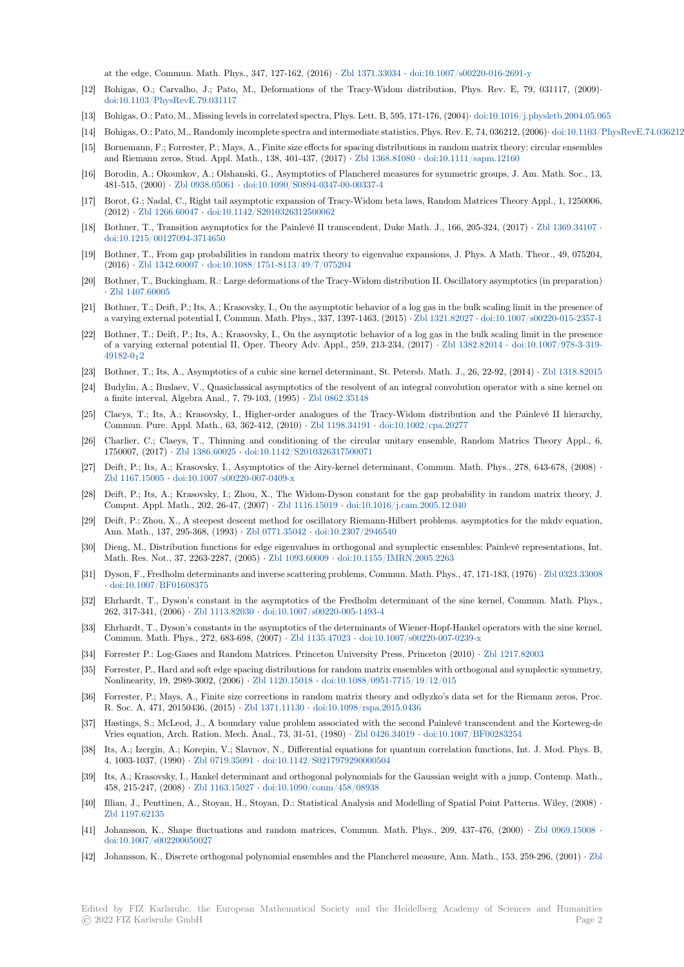at the edge, Commun. Math. Phys., 347, 127-162, (2016) *·* Zbl 1371.33034 *·* doi:10.1007/s00220-016-2691-y

- [12] Bohigas, O.; Carvalho, J.; Pato, M., Deformations of the Tracy-Widom distribution, Phys. Rev. E, 79, 031117, (2009)*·* doi:10.1103/PhysRevE.79.031117
- [13] Bohigas, O.; Pato, M., Missing levels in correlated spectra, Phys. Lett. B, 595, 171-176, (2004)*·* doi:10.1016/j.physletb.2004.05.065
- [14] Bohigas, O.; Pato, M., Randomly incomplete spectra and int[ermediate statis](https://zbmath.org/1371.33034)ti[cs, Phys. Rev. E, 74, 036212, \(20](https://dx.doi.org/10.1007/s00220-016-2691-y)06)*·* doi:10.1103/PhysRevE.74.036212
- [15] Bornemann, F.; Forrester, P.; Mays, A., Finite size effects for spacing distributions in random matrix theory: circular ensembles [and Riemann zeros, Stud. Appl. M](https://dx.doi.org/10.1103/PhysRevE.79.031117)ath., 138, 401-437, (2017) *·* Zbl 1368.81080 *·* doi:10.1111/sapm.12160
- [16] Borodin, A.; Okounkov, A.; Olshanski, G., Asymptotics of Plancherel measures for symmetri[c groups, J. Am. Math. Soc., 13,](https://dx.doi.org/10.1016/j.physletb.2004.05.065) 481-515, (2000) *·* Zbl 0938.05061 *·* doi:10.1090/S0894-0347-00-00337-4
- [17] Borot, G.; Nadal, C., Right tail asymptotic expansion of Tracy-Widom beta laws, Random Matrices Theory Appl., 1, 1250006, (2012) *·* Zbl 1266.60047 *·* doi:10.1142/S2010326312500062
- [18] Bothner, T., Transition asymptotics for the Painlevé II transcendent, Duke Math. J., 166, 205-324, (2017) *·* Zbl 1369.34107 *·* doi:10.1215/0012[7094-3714650](https://zbmath.org/0938.05061)
- [19] Bothner, T., From gap probabilities in random matrix theory to eigenvalue expansions, J. Phys. A Math. Theor., 49, 075204, (2016) *·* [Zbl 1342.60007](https://zbmath.org/1266.60047) *·* [doi:10.1088/1751-8113/49/7/075](https://dx.doi.org/10.1142/S2010326312500062)204
- [20] Bothner, T., Buckingham, R.: Large deformations of the Tracy-Widom distribution II. Oscillatory asymptotic[s \(in preparation](https://zbmath.org/1369.34107)) *·* [Zbl 1407.60005](https://dx.doi.org/10.1215/00127094-3714650)
- [21] Bothner, T.; Deift, P.; Its, A.; Krasovsky, I., On the asymptotic behavior of a log gas in the bulk scaling limit in the presence of a varyin[g external poten](https://zbmath.org/1342.60007)ti[al I, Commun. Math. Phys., 337, 1397](https://dx.doi.org/10.1088/1751-8113/49/7/075204)-1463, (2015) *·* Zbl 1321.82027 *·* doi:10.1007/s00220-015-2357-1
- [22] Bothner, T.; Deift, P.; Its, A.; Krasovsky, I., On the asymptotic behavior of a log gas in the bulk scaling limit in the presence o[f a varying exte](https://zbmath.org/1407.60005)rnal potential II, Oper. Theory Adv. Appl., 259, 213-234, (2017) *·* Zbl 1382.82014 *·* doi:10.1007/978-3-319- 49182-012
- [23] Bothner, T.; Its, A., Asymptotics of a cubic sine kernel determinant, St. Peter[sb. Math. J., 26](https://zbmath.org/1321.82027), 22-92, (2014) *·* [Zbl 1318.82015](https://dx.doi.org/10.1007/s00220-015-2357-1)
- [24] Budylin, A.; Buslaev, V., Quasiclassical asymptotics of the resolvent of an integral convolution operator with a sine kernel on a finite interval, Algebra Anal., 7, 79-103, (1995) *·* Zbl 0862.35148
- [25] [Claeys, T.](https://dx.doi.org/10.1007/978-3-319-49182-0_12); Its, A.; Krasovsky, I., Higher-order analogues of the Tracy-Widom distribution and the Painlevé II hierarchy, Commun. Pure. Appl. Math., 63, 362-412, (2010) *·* Zbl 1198.34191 *·* doi:10.1002/cpa.20277
- [26] Charlier, C.; Claeys, T., Thinning and conditioning of the circular unitary ensemble, Random Matrics Theory Appl., 6, 1750007, (2017) *·* Zbl 1386.60025 *·* doi:10.1142/S20[10326317500071](https://zbmath.org/0862.35148)
- [27] Deift, P.; Its, A.; Krasovsky, I., Asymptotics of the Airy-kernel determinant, Commun. Math. Phys., 278, 643-678, (2008) *·* Zbl 1167.15005 *·* doi:10.1007/s00220-007-0409-x
- [28] Deift, P.; Its, A.; Krasovsky, I.; Zhou, X., The Widom-Dyson constant for the gap probability in random matrix theory, J. Comput. Appl. [Math., 202, 26-47](https://zbmath.org/1386.60025), (2007) *·* [Zbl 1116.15019](https://dx.doi.org/10.1142/S2010326317500071) *·* doi:10.1016/j.cam.2005.12.040
- [29] Deift, P.; Zhou, X., A steepest descent method for oscillatory Riemann-Hilbert problems. asymptotics for the mkdv equation, [Ann. Math., 13](https://zbmath.org/1167.15005)7, [295-368, \(1993\)](https://dx.doi.org/10.1007/s00220-007-0409-x) *·* Zbl 0771.35042 *·* doi:10.2307/2946540
- [30] Dieng, M., Distribution functions for edge eigenvalues in orthogonal and symplectic ensembles: Painlevé representations, Int. Math. Res. Not., 37, 2263-2287, (2005) *·* Z[bl 1093.60009](https://zbmath.org/1116.15019) *·* d[oi:10.1155/IMRN.2005.2263](https://dx.doi.org/10.1016/j.cam.2005.12.040)
- [31] Dyson, F., Fredholm determinants and inverse scattering problems, Commun. Math. Phys., 47, 171-183, (1976) *·* Zbl 0323.33008 *·* doi:10.1007/BF01608375
- [32] Ehrhardt, T., Dyson's constant in the asymptotics of the Fredholm determinant of the sine kernel, Commun. Math. Phys., 262, 317-341, (2006) *·* Zbl 1113.82030 *·* d[oi:10.1007/s002](https://zbmath.org/1093.60009)2[0-005-1493-4](https://dx.doi.org/10.1155/IMRN.2005.2263)
- [33] Ehrhardt, T., Dyson's constants in the asymptotics of the determinants of Wiener-Hopf-Hankel operators with [the sine kernel,](https://zbmath.org/0323.33008) [Commun. Math. Phys., 27](https://dx.doi.org/10.1007/BF01608375)2, 683-698, (2007) *·* Zbl 1135.47023 *·* doi:10.1007/s00220-007-0239-x
- [34] Forrester P.: Log-Gases and Random Matrices. Princeton University Press, Princeton (2010) *·* Zbl 1217.82003
- [35] Forrester, P., Hard an[d soft edge spacin](https://zbmath.org/1113.82030)[g distributions for random matri](https://dx.doi.org/10.1007/s00220-005-1493-4)x ensembles with orthogonal and symplectic symmetry, Nonlinearity, 19, 2989-3002, (2006) *·* Zbl 1120.15018 *·* doi:10.1088/0951-7715/19/12/015
- [36] Forrester, P.; Mays, A., Finite size corrections [in random mat](https://zbmath.org/1135.47023)ri[x theory and odlyzko's data set](https://dx.doi.org/10.1007/s00220-007-0239-x) for the Riemann zeros, Proc. R. Soc. A, 471, 20150436, (2015) *·* Zbl 1371.11130 *·* doi:10.1098/rspa.2015.0436
- [37] Hastings, S.; McLeod, J., A boundary value problem associated with the second Painlevé transcendent and the Korteweg-de Vries equation, Arch. Ration. Mech. [Anal., 73, 31-51](https://zbmath.org/1120.15018), (1980) *·* [Zbl 0426.34019](https://dx.doi.org/10.1088/0951-7715/19/12/015) *·* doi:10.1007/BF00283254
- [38] Its, A.; Izergin, A.; Korepin, V.; Slavnov, N., Differential equations for quantum correlation functions, Int. J. Mod. Phys. B, 4, 1003-1037, (1990) *·* Zbl 0719.35091 *·* [doi:10.1142](https://zbmath.org/1371.11130)/[S0217979290000504](https://dx.doi.org/10.1098/rspa.2015.0436)
- [39] Its, A.; Krasovsky, I., Hankel determinant and orthogonal polynomials for the Gaussian weight with a jump, Contemp. Math., 458, 215-247, (2008) *·* Zbl 1163.15027 *·* doi:10.1090/conm/458[/08938](https://zbmath.org/0426.34019)
- [40] Illian, J., Penttinen, A., Stoyan, H., Stoyan, D.: Statistical Analysis and Modelling of Spatial Point Patterns. Wiley, (2008) *·* Zbl 1197.62135
- [41] Johansson, K., Shape fluctuations and random matrices, Commun. Math. Phys., 209, 437-476, (2000) *·* Zbl 0969.15008 *·* doi:10.1007/s00220005[0027](https://zbmath.org/1163.15027)
- [42] Johansson, K., Discrete orthogonal polynomial ensembles and the Plancherel measure, Ann. Math., 153, 259-296, (2001) *·* Zbl